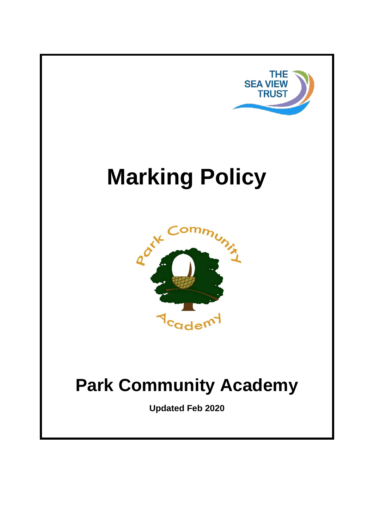

# **Marking Policy**



## **Park Community Academy**

**Updated Feb 2020**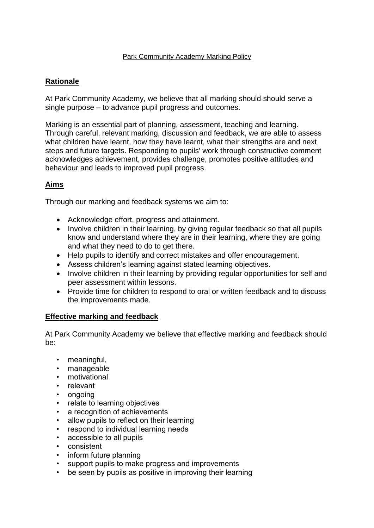#### Park Community Academy Marking Policy

#### **Rationale**

At Park Community Academy, we believe that all marking should should serve a single purpose – to advance pupil progress and outcomes.

Marking is an essential part of planning, assessment, teaching and learning. Through careful, relevant marking, discussion and feedback, we are able to assess what children have learnt, how they have learnt, what their strengths are and next steps and future targets. Responding to pupils' work through constructive comment acknowledges achievement, provides challenge, promotes positive attitudes and behaviour and leads to improved pupil progress.

#### **Aims**

Through our marking and feedback systems we aim to:

- Acknowledge effort, progress and attainment.
- Involve children in their learning, by giving regular feedback so that all pupils know and understand where they are in their learning, where they are going and what they need to do to get there.
- Help pupils to identify and correct mistakes and offer encouragement.
- Assess children's learning against stated learning objectives.
- Involve children in their learning by providing regular opportunities for self and peer assessment within lessons.
- Provide time for children to respond to oral or written feedback and to discuss the improvements made.

#### **Effective marking and feedback**

At Park Community Academy we believe that effective marking and feedback should be:

- meaningful,
- manageable
- motivational
- relevant
- ongoing
- relate to learning objectives
- a recognition of achievements
- allow pupils to reflect on their learning
- respond to individual learning needs
- accessible to all pupils
- consistent
- inform future planning
- support pupils to make progress and improvements
- be seen by pupils as positive in improving their learning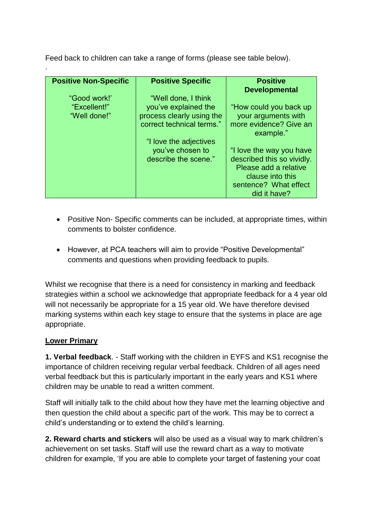Feed back to children can take a range of forms (please see table below).

| <b>Positive Non-Specific</b>                 | <b>Positive Specific</b>                                                                                                                                                    | <b>Positive</b><br><b>Developmental</b>                                                                                                                                                                                              |
|----------------------------------------------|-----------------------------------------------------------------------------------------------------------------------------------------------------------------------------|--------------------------------------------------------------------------------------------------------------------------------------------------------------------------------------------------------------------------------------|
| "Good work!"<br>"Excellent!"<br>"Well done!" | "Well done, I think<br>you've explained the<br>process clearly using the<br>correct technical terms."<br>"I love the adjectives<br>you've chosen to<br>describe the scene." | "How could you back up<br>your arguments with<br>more evidence? Give an<br>example."<br>"I love the way you have<br>described this so vividly.<br>Please add a relative<br>clause into this<br>sentence? What effect<br>did it have? |

- Positive Non- Specific comments can be included, at appropriate times, within comments to bolster confidence.
- However, at PCA teachers will aim to provide "Positive Developmental" comments and questions when providing feedback to pupils.

Whilst we recognise that there is a need for consistency in marking and feedback strategies within a school we acknowledge that appropriate feedback for a 4 year old will not necessarily be appropriate for a 15 year old. We have therefore devised marking systems within each key stage to ensure that the systems in place are age appropriate.

#### **Lower Primary**

.

**1. Verbal feedback**. - Staff working with the children in EYFS and KS1 recognise the importance of children receiving regular verbal feedback. Children of all ages need verbal feedback but this is particularly important in the early years and KS1 where children may be unable to read a written comment.

Staff will initially talk to the child about how they have met the learning objective and then question the child about a specific part of the work. This may be to correct a child's understanding or to extend the child's learning.

**2. Reward charts and stickers** will also be used as a visual way to mark children's achievement on set tasks. Staff will use the reward chart as a way to motivate children for example, 'If you are able to complete your target of fastening your coat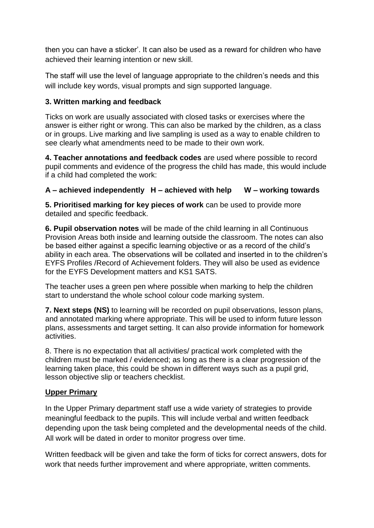then you can have a sticker'. It can also be used as a reward for children who have achieved their learning intention or new skill.

The staff will use the level of language appropriate to the children's needs and this will include key words, visual prompts and sign supported language.

#### **3. Written marking and feedback**

Ticks on work are usually associated with closed tasks or exercises where the answer is either right or wrong. This can also be marked by the children, as a class or in groups. Live marking and live sampling is used as a way to enable children to see clearly what amendments need to be made to their own work.

**4. Teacher annotations and feedback codes** are used where possible to record pupil comments and evidence of the progress the child has made, this would include if a child had completed the work:

#### **A – achieved independently H – achieved with help W – working towards**

**5. Prioritised marking for key pieces of work** can be used to provide more detailed and specific feedback.

**6. Pupil observation notes** will be made of the child learning in all Continuous Provision Areas both inside and learning outside the classroom. The notes can also be based either against a specific learning objective or as a record of the child's ability in each area. The observations will be collated and inserted in to the children's EYFS Profiles /Record of Achievement folders. They will also be used as evidence for the EYFS Development matters and KS1 SATS.

The teacher uses a green pen where possible when marking to help the children start to understand the whole school colour code marking system.

**7. Next steps (NS)** to learning will be recorded on pupil observations, lesson plans, and annotated marking where appropriate. This will be used to inform future lesson plans, assessments and target setting. It can also provide information for homework activities.

8. There is no expectation that all activities/ practical work completed with the children must be marked / evidenced; as long as there is a clear progression of the learning taken place, this could be shown in different ways such as a pupil grid, lesson objective slip or teachers checklist.

#### **Upper Primary**

In the Upper Primary department staff use a wide variety of strategies to provide meaningful feedback to the pupils. This will include verbal and written feedback depending upon the task being completed and the developmental needs of the child. All work will be dated in order to monitor progress over time.

Written feedback will be given and take the form of ticks for correct answers, dots for work that needs further improvement and where appropriate, written comments.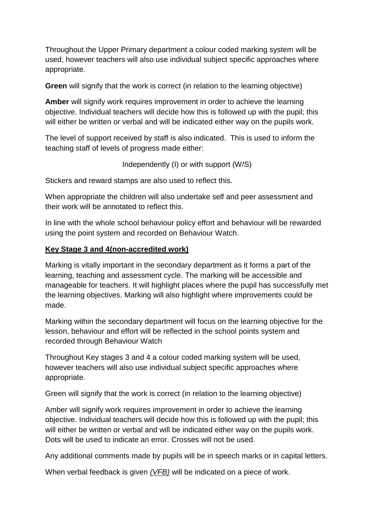Throughout the Upper Primary department a colour coded marking system will be used, however teachers will also use individual subject specific approaches where appropriate.

**Green** will signify that the work is correct (in relation to the learning objective)

**Amber** will signify work requires improvement in order to achieve the learning objective. Individual teachers will decide how this is followed up with the pupil; this will either be written or verbal and will be indicated either way on the pupils work.

The level of support received by staff is also indicated. This is used to inform the teaching staff of levels of progress made either:

```
Independently (I) or with support (W/S)
```
Stickers and reward stamps are also used to reflect this.

When appropriate the children will also undertake self and peer assessment and their work will be annotated to reflect this.

In line with the whole school behaviour policy effort and behaviour will be rewarded using the point system and recorded on Behaviour Watch.

#### **Key Stage 3 and 4(non-accredited work)**

Marking is vitally important in the secondary department as it forms a part of the learning, teaching and assessment cycle. The marking will be accessible and manageable for teachers. It will highlight places where the pupil has successfully met the learning objectives. Marking will also highlight where improvements could be made.

Marking within the secondary department will focus on the learning objective for the lesson, behaviour and effort will be reflected in the school points system and recorded through Behaviour Watch

Throughout Key stages 3 and 4 a colour coded marking system will be used, however teachers will also use individual subject specific approaches where appropriate.

Green will signify that the work is correct (in relation to the learning objective)

Amber will signify work requires improvement in order to achieve the learning objective. Individual teachers will decide how this is followed up with the pupil; this will either be written or verbal and will be indicated either way on the pupils work. Dots will be used to indicate an error. Crosses will not be used.

Any additional comments made by pupils will be in speech marks or in capital letters.

When verbal feedback is given *(VFB)* will be indicated on a piece of work.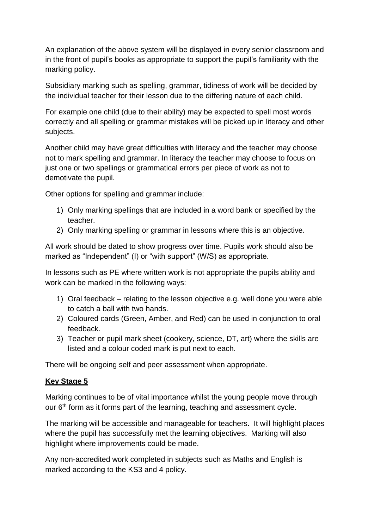An explanation of the above system will be displayed in every senior classroom and in the front of pupil's books as appropriate to support the pupil's familiarity with the marking policy.

Subsidiary marking such as spelling, grammar, tidiness of work will be decided by the individual teacher for their lesson due to the differing nature of each child.

For example one child (due to their ability) may be expected to spell most words correctly and all spelling or grammar mistakes will be picked up in literacy and other subjects.

Another child may have great difficulties with literacy and the teacher may choose not to mark spelling and grammar. In literacy the teacher may choose to focus on just one or two spellings or grammatical errors per piece of work as not to demotivate the pupil.

Other options for spelling and grammar include:

- 1) Only marking spellings that are included in a word bank or specified by the teacher.
- 2) Only marking spelling or grammar in lessons where this is an objective.

All work should be dated to show progress over time. Pupils work should also be marked as "Independent" (I) or "with support" (W/S) as appropriate.

In lessons such as PE where written work is not appropriate the pupils ability and work can be marked in the following ways:

- 1) Oral feedback relating to the lesson objective e.g. well done you were able to catch a ball with two hands.
- 2) Coloured cards (Green, Amber, and Red) can be used in conjunction to oral feedback.
- 3) Teacher or pupil mark sheet (cookery, science, DT, art) where the skills are listed and a colour coded mark is put next to each.

There will be ongoing self and peer assessment when appropriate.

### **Key Stage 5**

Marking continues to be of vital importance whilst the young people move through our 6<sup>th</sup> form as it forms part of the learning, teaching and assessment cycle.

The marking will be accessible and manageable for teachers. It will highlight places where the pupil has successfully met the learning objectives. Marking will also highlight where improvements could be made.

Any non-accredited work completed in subjects such as Maths and English is marked according to the KS3 and 4 policy.